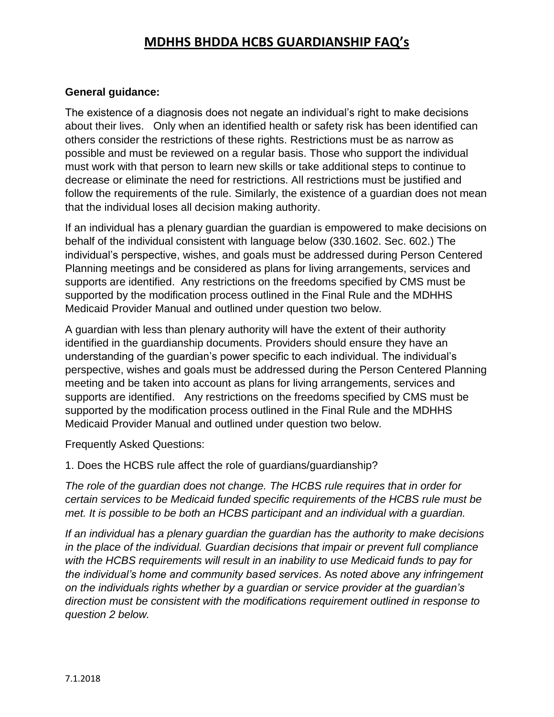#### **General guidance:**

The existence of a diagnosis does not negate an individual's right to make decisions about their lives. Only when an identified health or safety risk has been identified can others consider the restrictions of these rights. Restrictions must be as narrow as possible and must be reviewed on a regular basis. Those who support the individual must work with that person to learn new skills or take additional steps to continue to decrease or eliminate the need for restrictions. All restrictions must be justified and follow the requirements of the rule. Similarly, the existence of a guardian does not mean that the individual loses all decision making authority.

If an individual has a plenary guardian the guardian is empowered to make decisions on behalf of the individual consistent with language below (330.1602. Sec. 602.) The individual's perspective, wishes, and goals must be addressed during Person Centered Planning meetings and be considered as plans for living arrangements, services and supports are identified. Any restrictions on the freedoms specified by CMS must be supported by the modification process outlined in the Final Rule and the MDHHS Medicaid Provider Manual and outlined under question two below.

A guardian with less than plenary authority will have the extent of their authority identified in the guardianship documents. Providers should ensure they have an understanding of the guardian's power specific to each individual. The individual's perspective, wishes and goals must be addressed during the Person Centered Planning meeting and be taken into account as plans for living arrangements, services and supports are identified. Any restrictions on the freedoms specified by CMS must be supported by the modification process outlined in the Final Rule and the MDHHS Medicaid Provider Manual and outlined under question two below.

Frequently Asked Questions:

1. Does the HCBS rule affect the role of guardians/guardianship?

*The role of the guardian does not change. The HCBS rule requires that in order for certain services to be Medicaid funded specific requirements of the HCBS rule must be met. It is possible to be both an HCBS participant and an individual with a guardian.*

*If an individual has a plenary guardian the guardian has the authority to make decisions in the place of the individual. Guardian decisions that impair or prevent full compliance with the HCBS requirements will result in an inability to use Medicaid funds to pay for the individual's home and community based services*. As *noted above any infringement on the individuals rights whether by a guardian or service provider at the guardian's direction must be consistent with the modifications requirement outlined in response to question 2 below.*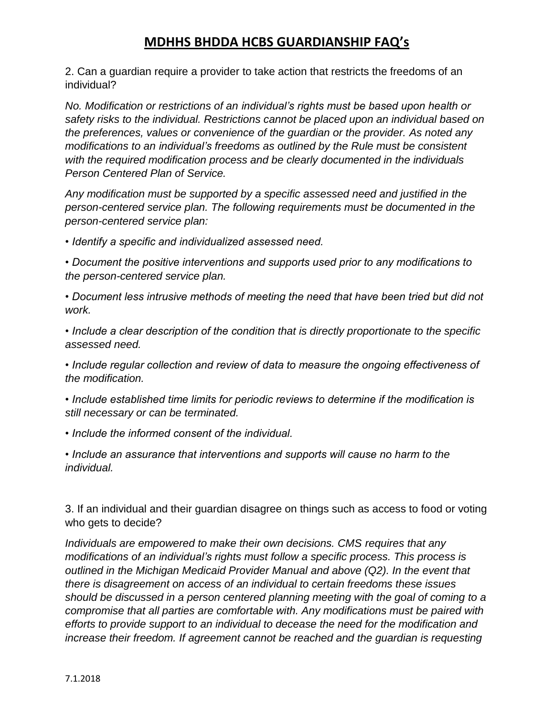2. Can a guardian require a provider to take action that restricts the freedoms of an individual?

*No. Modification or restrictions of an individual's rights must be based upon health or safety risks to the individual. Restrictions cannot be placed upon an individual based on the preferences, values or convenience of the guardian or the provider. As noted any modifications to an individual's freedoms as outlined by the Rule must be consistent with the required modification process and be clearly documented in the individuals Person Centered Plan of Service.*

*Any modification must be supported by a specific assessed need and justified in the person-centered service plan. The following requirements must be documented in the person-centered service plan:* 

*• Identify a specific and individualized assessed need.* 

*• Document the positive interventions and supports used prior to any modifications to the person-centered service plan.* 

*• Document less intrusive methods of meeting the need that have been tried but did not work.* 

*• Include a clear description of the condition that is directly proportionate to the specific assessed need.* 

*• Include regular collection and review of data to measure the ongoing effectiveness of the modification.* 

*• Include established time limits for periodic reviews to determine if the modification is still necessary or can be terminated.* 

*• Include the informed consent of the individual.* 

*• Include an assurance that interventions and supports will cause no harm to the individual.*

3. If an individual and their guardian disagree on things such as access to food or voting who gets to decide?

*Individuals are empowered to make their own decisions. CMS requires that any modifications of an individual's rights must follow a specific process. This process is outlined in the Michigan Medicaid Provider Manual and above (Q2). In the event that there is disagreement on access of an individual to certain freedoms these issues should be discussed in a person centered planning meeting with the goal of coming to a compromise that all parties are comfortable with. Any modifications must be paired with efforts to provide support to an individual to decease the need for the modification and increase their freedom. If agreement cannot be reached and the guardian is requesting*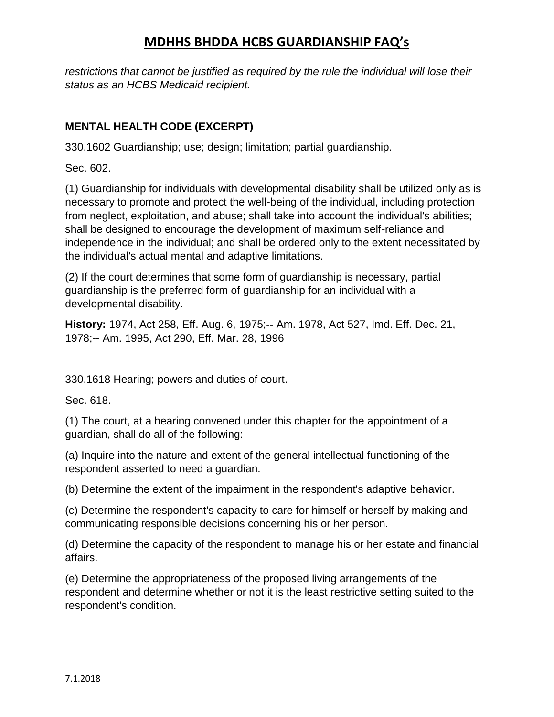*restrictions that cannot be justified as required by the rule the individual will lose their status as an HCBS Medicaid recipient.*

#### **MENTAL HEALTH CODE (EXCERPT)**

330.1602 Guardianship; use; design; limitation; partial guardianship.

Sec. 602.

(1) Guardianship for individuals with developmental disability shall be utilized only as is necessary to promote and protect the well-being of the individual, including protection from neglect, exploitation, and abuse; shall take into account the individual's abilities; shall be designed to encourage the development of maximum self-reliance and independence in the individual; and shall be ordered only to the extent necessitated by the individual's actual mental and adaptive limitations.

(2) If the court determines that some form of guardianship is necessary, partial guardianship is the preferred form of guardianship for an individual with a developmental disability.

**History:** 1974, Act 258, Eff. Aug. 6, 1975;-- Am. 1978, Act 527, Imd. Eff. Dec. 21, 1978;-- Am. 1995, Act 290, Eff. Mar. 28, 1996

330.1618 Hearing; powers and duties of court.

Sec. 618.

(1) The court, at a hearing convened under this chapter for the appointment of a guardian, shall do all of the following:

(a) Inquire into the nature and extent of the general intellectual functioning of the respondent asserted to need a guardian.

(b) Determine the extent of the impairment in the respondent's adaptive behavior.

(c) Determine the respondent's capacity to care for himself or herself by making and communicating responsible decisions concerning his or her person.

(d) Determine the capacity of the respondent to manage his or her estate and financial affairs.

(e) Determine the appropriateness of the proposed living arrangements of the respondent and determine whether or not it is the least restrictive setting suited to the respondent's condition.